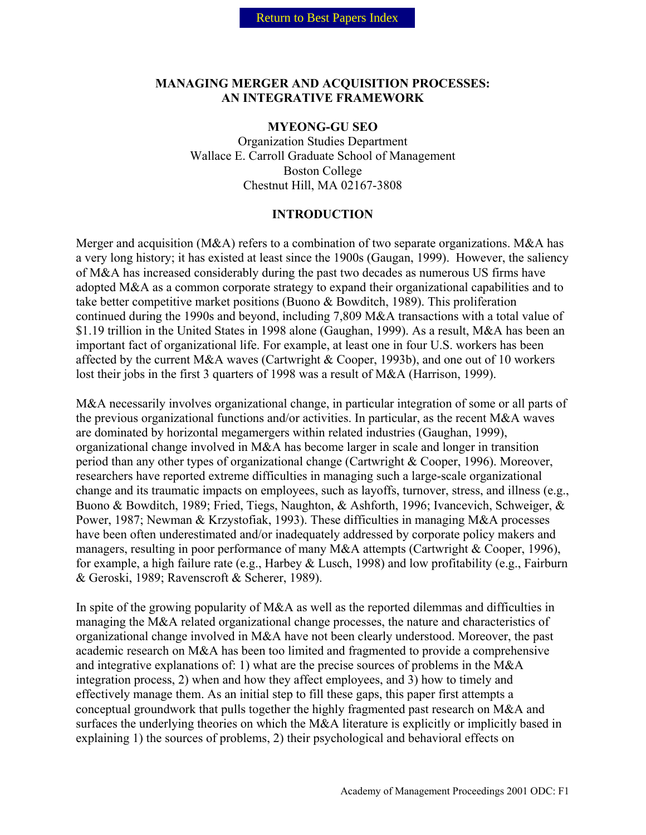#### **MANAGING MERGER AND ACQUISITION PROCESSES: AN INTEGRATIVE FRAMEWORK**

#### **MYEONG-GU SEO**

Organization Studies Department Wallace E. Carroll Graduate School of Management Boston College Chestnut Hill, MA 02167-3808

#### **INTRODUCTION**

Merger and acquisition (M&A) refers to a combination of two separate organizations. M&A has a very long history; it has existed at least since the 1900s (Gaugan, 1999). However, the saliency of M&A has increased considerably during the past two decades as numerous US firms have adopted M&A as a common corporate strategy to expand their organizational capabilities and to take better competitive market positions (Buono & Bowditch, 1989). This proliferation continued during the 1990s and beyond, including 7,809 M&A transactions with a total value of \$1.19 trillion in the United States in 1998 alone (Gaughan, 1999). As a result, M&A has been an important fact of organizational life. For example, at least one in four U.S. workers has been affected by the current M&A waves (Cartwright & Cooper, 1993b), and one out of 10 workers lost their jobs in the first 3 quarters of 1998 was a result of M&A (Harrison, 1999).

M&A necessarily involves organizational change, in particular integration of some or all parts of the previous organizational functions and/or activities. In particular, as the recent M&A waves are dominated by horizontal megamergers within related industries (Gaughan, 1999), organizational change involved in M&A has become larger in scale and longer in transition period than any other types of organizational change (Cartwright & Cooper, 1996). Moreover, researchers have reported extreme difficulties in managing such a large-scale organizational change and its traumatic impacts on employees, such as layoffs, turnover, stress, and illness (e.g., Buono & Bowditch, 1989; Fried, Tiegs, Naughton, & Ashforth, 1996; Ivancevich, Schweiger, & Power, 1987; Newman & Krzystofiak, 1993). These difficulties in managing M&A processes have been often underestimated and/or inadequately addressed by corporate policy makers and managers, resulting in poor performance of many M&A attempts (Cartwright & Cooper, 1996), for example, a high failure rate (e.g., Harbey & Lusch, 1998) and low profitability (e.g., Fairburn & Geroski, 1989; Ravenscroft & Scherer, 1989).

In spite of the growing popularity of M&A as well as the reported dilemmas and difficulties in managing the M&A related organizational change processes, the nature and characteristics of organizational change involved in M&A have not been clearly understood. Moreover, the past academic research on M&A has been too limited and fragmented to provide a comprehensive and integrative explanations of: 1) what are the precise sources of problems in the M&A integration process, 2) when and how they affect employees, and 3) how to timely and effectively manage them. As an initial step to fill these gaps, this paper first attempts a conceptual groundwork that pulls together the highly fragmented past research on M&A and surfaces the underlying theories on which the M&A literature is explicitly or implicitly based in explaining 1) the sources of problems, 2) their psychological and behavioral effects on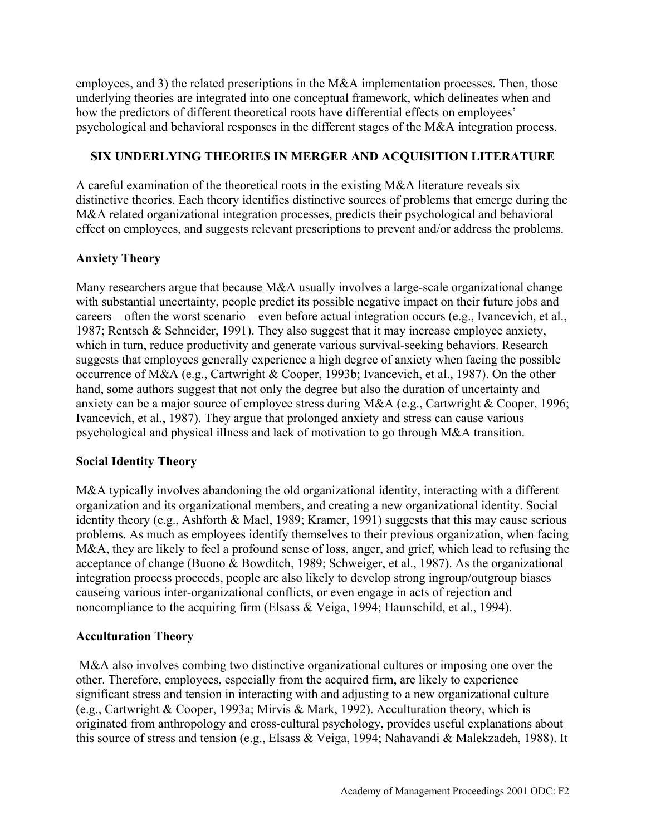employees, and 3) the related prescriptions in the M&A implementation processes. Then, those underlying theories are integrated into one conceptual framework, which delineates when and how the predictors of different theoretical roots have differential effects on employees' psychological and behavioral responses in the different stages of the M&A integration process.

# **SIX UNDERLYING THEORIES IN MERGER AND ACQUISITION LITERATURE**

A careful examination of the theoretical roots in the existing M&A literature reveals six distinctive theories. Each theory identifies distinctive sources of problems that emerge during the M&A related organizational integration processes, predicts their psychological and behavioral effect on employees, and suggests relevant prescriptions to prevent and/or address the problems.

# **Anxiety Theory**

Many researchers argue that because M&A usually involves a large-scale organizational change with substantial uncertainty, people predict its possible negative impact on their future jobs and careers – often the worst scenario – even before actual integration occurs (e.g., Ivancevich, et al., 1987; Rentsch & Schneider, 1991). They also suggest that it may increase employee anxiety, which in turn, reduce productivity and generate various survival-seeking behaviors. Research suggests that employees generally experience a high degree of anxiety when facing the possible occurrence of M&A (e.g., Cartwright & Cooper, 1993b; Ivancevich, et al., 1987). On the other hand, some authors suggest that not only the degree but also the duration of uncertainty and anxiety can be a major source of employee stress during M&A (e.g., Cartwright & Cooper, 1996; Ivancevich, et al., 1987). They argue that prolonged anxiety and stress can cause various psychological and physical illness and lack of motivation to go through M&A transition.

## **Social Identity Theory**

M&A typically involves abandoning the old organizational identity, interacting with a different organization and its organizational members, and creating a new organizational identity. Social identity theory (e.g., Ashforth & Mael, 1989; Kramer, 1991) suggests that this may cause serious problems. As much as employees identify themselves to their previous organization, when facing M&A, they are likely to feel a profound sense of loss, anger, and grief, which lead to refusing the acceptance of change (Buono & Bowditch, 1989; Schweiger, et al., 1987). As the organizational integration process proceeds, people are also likely to develop strong ingroup/outgroup biases causeing various inter-organizational conflicts, or even engage in acts of rejection and noncompliance to the acquiring firm (Elsass & Veiga, 1994; Haunschild, et al., 1994).

## **Acculturation Theory**

 M&A also involves combing two distinctive organizational cultures or imposing one over the other. Therefore, employees, especially from the acquired firm, are likely to experience significant stress and tension in interacting with and adjusting to a new organizational culture (e.g., Cartwright & Cooper, 1993a; Mirvis & Mark, 1992). Acculturation theory, which is originated from anthropology and cross-cultural psychology, provides useful explanations about this source of stress and tension (e.g., Elsass & Veiga, 1994; Nahavandi & Malekzadeh, 1988). It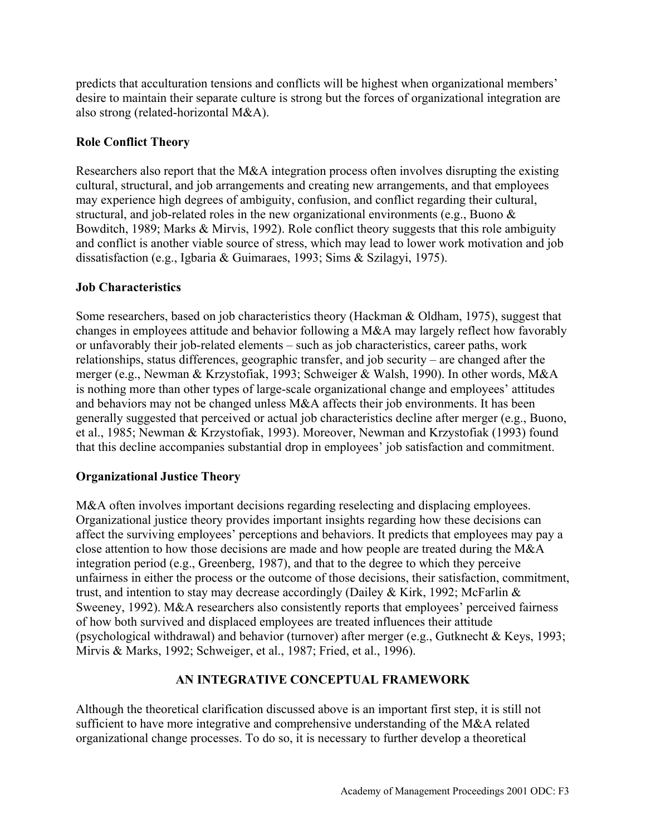predicts that acculturation tensions and conflicts will be highest when organizational members' desire to maintain their separate culture is strong but the forces of organizational integration are also strong (related-horizontal M&A).

# **Role Conflict Theory**

Researchers also report that the M&A integration process often involves disrupting the existing cultural, structural, and job arrangements and creating new arrangements, and that employees may experience high degrees of ambiguity, confusion, and conflict regarding their cultural, structural, and job-related roles in the new organizational environments (e.g., Buono & Bowditch, 1989; Marks & Mirvis, 1992). Role conflict theory suggests that this role ambiguity and conflict is another viable source of stress, which may lead to lower work motivation and job dissatisfaction (e.g., Igbaria & Guimaraes, 1993; Sims & Szilagyi, 1975).

## **Job Characteristics**

Some researchers, based on job characteristics theory (Hackman & Oldham, 1975), suggest that changes in employees attitude and behavior following a M&A may largely reflect how favorably or unfavorably their job-related elements – such as job characteristics, career paths, work relationships, status differences, geographic transfer, and job security – are changed after the merger (e.g., Newman & Krzystofiak, 1993; Schweiger & Walsh, 1990). In other words, M&A is nothing more than other types of large-scale organizational change and employees' attitudes and behaviors may not be changed unless M&A affects their job environments. It has been generally suggested that perceived or actual job characteristics decline after merger (e.g., Buono, et al., 1985; Newman & Krzystofiak, 1993). Moreover, Newman and Krzystofiak (1993) found that this decline accompanies substantial drop in employees' job satisfaction and commitment.

## **Organizational Justice Theory**

M&A often involves important decisions regarding reselecting and displacing employees. Organizational justice theory provides important insights regarding how these decisions can affect the surviving employees' perceptions and behaviors. It predicts that employees may pay a close attention to how those decisions are made and how people are treated during the M&A integration period (e.g., Greenberg, 1987), and that to the degree to which they perceive unfairness in either the process or the outcome of those decisions, their satisfaction, commitment, trust, and intention to stay may decrease accordingly (Dailey & Kirk, 1992; McFarlin  $&$ Sweeney, 1992). M&A researchers also consistently reports that employees' perceived fairness of how both survived and displaced employees are treated influences their attitude (psychological withdrawal) and behavior (turnover) after merger (e.g., Gutknecht & Keys, 1993; Mirvis & Marks, 1992; Schweiger, et al., 1987; Fried, et al., 1996).

## **AN INTEGRATIVE CONCEPTUAL FRAMEWORK**

Although the theoretical clarification discussed above is an important first step, it is still not sufficient to have more integrative and comprehensive understanding of the M&A related organizational change processes. To do so, it is necessary to further develop a theoretical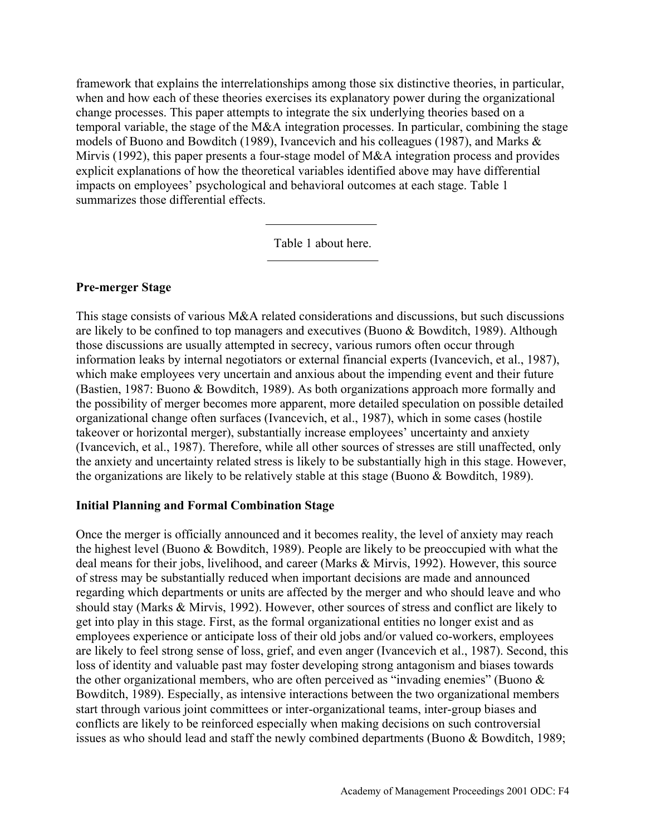framework that explains the interrelationships among those six distinctive theories, in particular, when and how each of these theories exercises its explanatory power during the organizational change processes. This paper attempts to integrate the six underlying theories based on a temporal variable, the stage of the M&A integration processes. In particular, combining the stage models of Buono and Bowditch (1989), Ivancevich and his colleagues (1987), and Marks & Mirvis (1992), this paper presents a four-stage model of M&A integration process and provides explicit explanations of how the theoretical variables identified above may have differential impacts on employees' psychological and behavioral outcomes at each stage. Table 1 summarizes those differential effects.

Table 1 about here.

#### **Pre-merger Stage**

This stage consists of various M&A related considerations and discussions, but such discussions are likely to be confined to top managers and executives (Buono & Bowditch, 1989). Although those discussions are usually attempted in secrecy, various rumors often occur through information leaks by internal negotiators or external financial experts (Ivancevich, et al., 1987), which make employees very uncertain and anxious about the impending event and their future (Bastien, 1987: Buono & Bowditch, 1989). As both organizations approach more formally and the possibility of merger becomes more apparent, more detailed speculation on possible detailed organizational change often surfaces (Ivancevich, et al., 1987), which in some cases (hostile takeover or horizontal merger), substantially increase employees' uncertainty and anxiety (Ivancevich, et al., 1987). Therefore, while all other sources of stresses are still unaffected, only the anxiety and uncertainty related stress is likely to be substantially high in this stage. However, the organizations are likely to be relatively stable at this stage (Buono & Bowditch, 1989).

#### **Initial Planning and Formal Combination Stage**

Once the merger is officially announced and it becomes reality, the level of anxiety may reach the highest level (Buono & Bowditch, 1989). People are likely to be preoccupied with what the deal means for their jobs, livelihood, and career (Marks & Mirvis, 1992). However, this source of stress may be substantially reduced when important decisions are made and announced regarding which departments or units are affected by the merger and who should leave and who should stay (Marks & Mirvis, 1992). However, other sources of stress and conflict are likely to get into play in this stage. First, as the formal organizational entities no longer exist and as employees experience or anticipate loss of their old jobs and/or valued co-workers, employees are likely to feel strong sense of loss, grief, and even anger (Ivancevich et al., 1987). Second, this loss of identity and valuable past may foster developing strong antagonism and biases towards the other organizational members, who are often perceived as "invading enemies" (Buono & Bowditch, 1989). Especially, as intensive interactions between the two organizational members start through various joint committees or inter-organizational teams, inter-group biases and conflicts are likely to be reinforced especially when making decisions on such controversial issues as who should lead and staff the newly combined departments (Buono & Bowditch, 1989;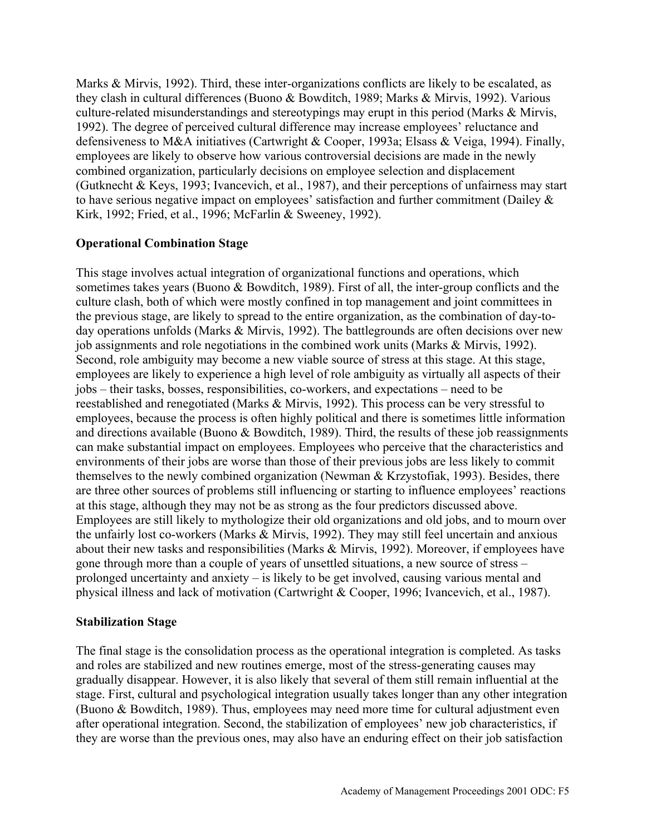Marks & Mirvis, 1992). Third, these inter-organizations conflicts are likely to be escalated, as they clash in cultural differences (Buono & Bowditch, 1989; Marks & Mirvis, 1992). Various culture-related misunderstandings and stereotypings may erupt in this period (Marks & Mirvis, 1992). The degree of perceived cultural difference may increase employees' reluctance and defensiveness to M&A initiatives (Cartwright & Cooper, 1993a; Elsass & Veiga, 1994). Finally, employees are likely to observe how various controversial decisions are made in the newly combined organization, particularly decisions on employee selection and displacement (Gutknecht & Keys, 1993; Ivancevich, et al., 1987), and their perceptions of unfairness may start to have serious negative impact on employees' satisfaction and further commitment (Dailey & Kirk, 1992; Fried, et al., 1996; McFarlin & Sweeney, 1992).

#### **Operational Combination Stage**

This stage involves actual integration of organizational functions and operations, which sometimes takes years (Buono & Bowditch, 1989). First of all, the inter-group conflicts and the culture clash, both of which were mostly confined in top management and joint committees in the previous stage, are likely to spread to the entire organization, as the combination of day-today operations unfolds (Marks & Mirvis, 1992). The battlegrounds are often decisions over new job assignments and role negotiations in the combined work units (Marks & Mirvis, 1992). Second, role ambiguity may become a new viable source of stress at this stage. At this stage, employees are likely to experience a high level of role ambiguity as virtually all aspects of their jobs – their tasks, bosses, responsibilities, co-workers, and expectations – need to be reestablished and renegotiated (Marks & Mirvis, 1992). This process can be very stressful to employees, because the process is often highly political and there is sometimes little information and directions available (Buono & Bowditch, 1989). Third, the results of these job reassignments can make substantial impact on employees. Employees who perceive that the characteristics and environments of their jobs are worse than those of their previous jobs are less likely to commit themselves to the newly combined organization (Newman & Krzystofiak, 1993). Besides, there are three other sources of problems still influencing or starting to influence employees' reactions at this stage, although they may not be as strong as the four predictors discussed above. Employees are still likely to mythologize their old organizations and old jobs, and to mourn over the unfairly lost co-workers (Marks & Mirvis, 1992). They may still feel uncertain and anxious about their new tasks and responsibilities (Marks & Mirvis, 1992). Moreover, if employees have gone through more than a couple of years of unsettled situations, a new source of stress – prolonged uncertainty and anxiety – is likely to be get involved, causing various mental and physical illness and lack of motivation (Cartwright & Cooper, 1996; Ivancevich, et al., 1987).

#### **Stabilization Stage**

The final stage is the consolidation process as the operational integration is completed. As tasks and roles are stabilized and new routines emerge, most of the stress-generating causes may gradually disappear. However, it is also likely that several of them still remain influential at the stage. First, cultural and psychological integration usually takes longer than any other integration (Buono & Bowditch, 1989). Thus, employees may need more time for cultural adjustment even after operational integration. Second, the stabilization of employees' new job characteristics, if they are worse than the previous ones, may also have an enduring effect on their job satisfaction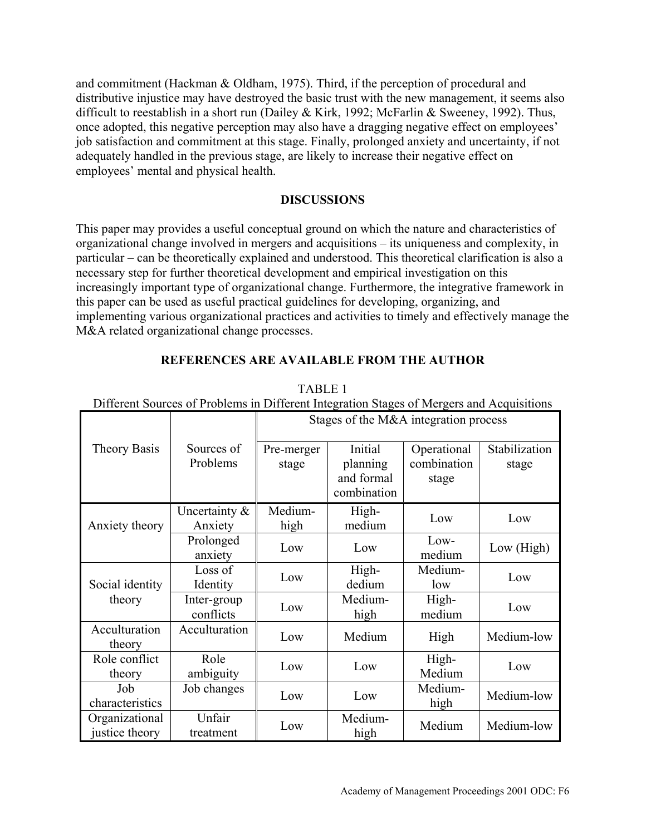and commitment (Hackman & Oldham, 1975). Third, if the perception of procedural and distributive injustice may have destroyed the basic trust with the new management, it seems also difficult to reestablish in a short run (Dailey & Kirk, 1992; McFarlin & Sweeney, 1992). Thus, once adopted, this negative perception may also have a dragging negative effect on employees' job satisfaction and commitment at this stage. Finally, prolonged anxiety and uncertainty, if not adequately handled in the previous stage, are likely to increase their negative effect on employees' mental and physical health.

#### **DISCUSSIONS**

This paper may provides a useful conceptual ground on which the nature and characteristics of organizational change involved in mergers and acquisitions – its uniqueness and complexity, in particular – can be theoretically explained and understood. This theoretical clarification is also a necessary step for further theoretical development and empirical investigation on this increasingly important type of organizational change. Furthermore, the integrative framework in this paper can be used as useful practical guidelines for developing, organizing, and implementing various organizational practices and activities to timely and effectively manage the M&A related organizational change processes.

| Different Sources of Problems in Different Integration Stages of Mergers and Acquisitions |                             |                                       |                                   |                                     |                        |
|-------------------------------------------------------------------------------------------|-----------------------------|---------------------------------------|-----------------------------------|-------------------------------------|------------------------|
|                                                                                           |                             | Stages of the M&A integration process |                                   |                                     |                        |
| <b>Theory Basis</b>                                                                       | Sources of<br>Problems      | Pre-merger<br>stage                   | Initial<br>planning<br>and formal | Operational<br>combination<br>stage | Stabilization<br>stage |
|                                                                                           |                             |                                       | combination                       |                                     |                        |
| Anxiety theory                                                                            | Uncertainty $\&$<br>Anxiety | Medium-<br>high                       | High-<br>medium                   | Low                                 | Low                    |
|                                                                                           | Prolonged<br>anxiety        | Low                                   | Low                               | Low-<br>medium                      | Low (High)             |
| Social identity<br>theory                                                                 | Loss of<br>Identity         | Low                                   | High-<br>dedium                   | Medium-<br>low                      | Low                    |
|                                                                                           | Inter-group<br>conflicts    | Low                                   | Medium-<br>high                   | High-<br>medium                     | Low                    |
| Acculturation<br>theory                                                                   | Acculturation               | Low                                   | Medium                            | High                                | Medium-low             |
| Role conflict<br>theory                                                                   | Role<br>ambiguity           | Low                                   | Low                               | High-<br>Medium                     | Low                    |
| Job<br>characteristics                                                                    | Job changes                 | Low                                   | Low                               | Medium-<br>high                     | Medium-low             |
| Organizational<br>justice theory                                                          | Unfair<br>treatment         | Low                                   | Medium-<br>high                   | Medium                              | Medium-low             |

## **REFERENCES ARE AVAILABLE FROM THE AUTHOR**

TABLE 1